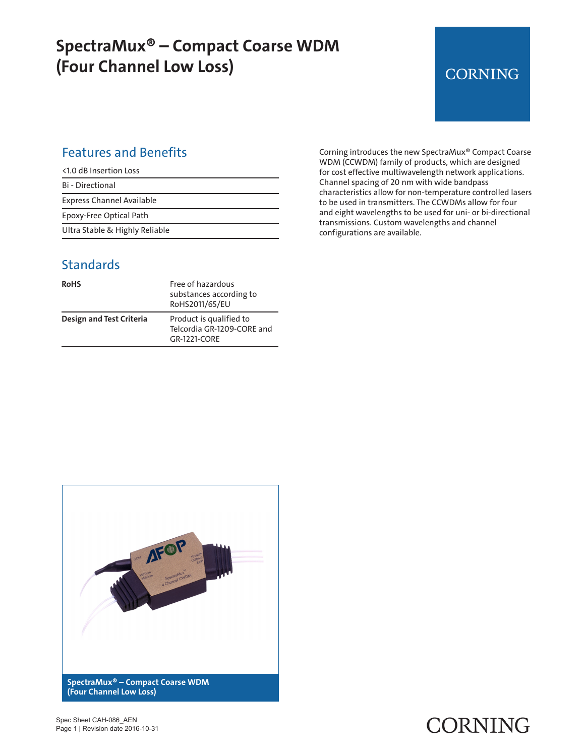## **SpectraMux® – Compact Coarse WDM (Four Channel Low Loss)**

## **CORNING**

### Features and Benefits

| <1.0 dB Insertion Loss         |
|--------------------------------|
| Bi - Directional               |
| Express Channel Available      |
| Epoxy-Free Optical Path        |
| Ultra Stable & Highly Reliable |

#### **Standards**

| <b>RoHS</b>                     | Free of hazardous<br>substances according to<br>RoHS2011/65/EU        |
|---------------------------------|-----------------------------------------------------------------------|
| <b>Design and Test Criteria</b> | Product is qualified to<br>Telcordia GR-1209-CORE and<br>GR-1221-CORE |

Corning introduces the new SpectraMux® Compact Coarse WDM (CCWDM) family of products, which are designed for cost effective multiwavelength network applications. Channel spacing of 20 nm with wide bandpass characteristics allow for non-temperature controlled lasers to be used in transmitters. The CCWDMs allow for four and eight wavelengths to be used for uni- or bi-directional transmissions. Custom wavelengths and channel configurations are available.



Spec Sheet CAH-086\_AEN Page 1 | Revision date 2016-10-31

# **CORNING**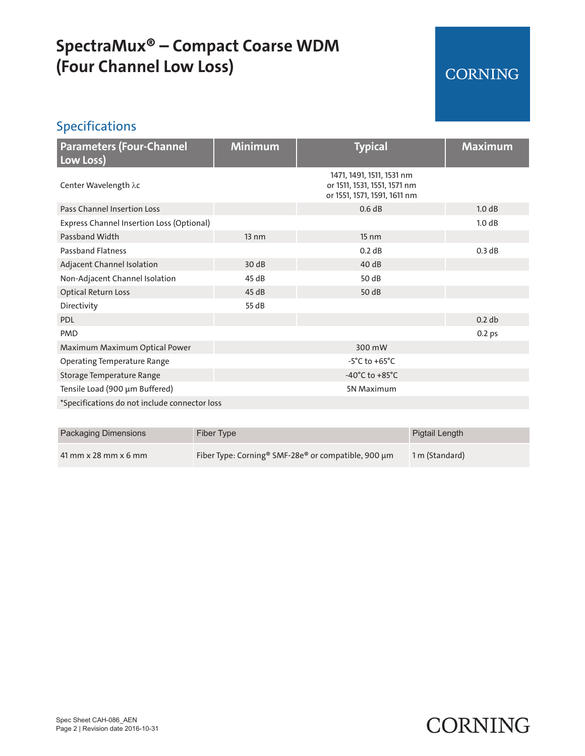# **SpectraMux® – Compact Coarse WDM (Four Channel Low Loss)**

### CORNING

### Specifications

| <b>Parameters (Four-Channel</b><br>Low Loss)  | <b>Minimum</b>  | <b>Typical</b>                                                                            | <b>Maximum</b>    |  |  |
|-----------------------------------------------|-----------------|-------------------------------------------------------------------------------------------|-------------------|--|--|
| Center Wavelength λc                          |                 | 1471, 1491, 1511, 1531 nm<br>or 1511, 1531, 1551, 1571 nm<br>or 1551, 1571, 1591, 1611 nm |                   |  |  |
| Pass Channel Insertion Loss                   |                 | 0.6 dB                                                                                    | 1.0 dB            |  |  |
| Express Channel Insertion Loss (Optional)     |                 |                                                                                           | 1.0 dB            |  |  |
| Passband Width                                | $13 \text{ nm}$ | $15 \text{ nm}$                                                                           |                   |  |  |
| <b>Passband Flatness</b>                      |                 | 0.2 dB                                                                                    | 0.3 dB            |  |  |
| Adjacent Channel Isolation                    | 30 dB           | 40 dB                                                                                     |                   |  |  |
| Non-Adjacent Channel Isolation                | 45 dB           | 50 dB                                                                                     |                   |  |  |
| <b>Optical Return Loss</b>                    | 45dB            | 50 dB                                                                                     |                   |  |  |
| Directivity                                   | 55 dB           |                                                                                           |                   |  |  |
| <b>PDL</b>                                    |                 |                                                                                           | 0.2 db            |  |  |
| <b>PMD</b>                                    |                 |                                                                                           | 0.2 <sub>ps</sub> |  |  |
| Maximum Maximum Optical Power                 |                 | 300 mW                                                                                    |                   |  |  |
| <b>Operating Temperature Range</b>            |                 | $-5^{\circ}$ C to $+65^{\circ}$ C                                                         |                   |  |  |
| Storage Temperature Range                     |                 | $-40^{\circ}$ C to $+85^{\circ}$ C                                                        |                   |  |  |
| Tensile Load (900 µm Buffered)                |                 | 5N Maximum                                                                                |                   |  |  |
| *Specifications do not include connector loss |                 |                                                                                           |                   |  |  |

| <b>Packaging Dimensions</b> | Fiber Type                                                                  | Pigtail Length |
|-----------------------------|-----------------------------------------------------------------------------|----------------|
| $41$ mm x 28 mm x 6 mm      | Fiber Type: Corning <sup>®</sup> SMF-28e <sup>®</sup> or compatible, 900 μm | 1 m (Standard) |